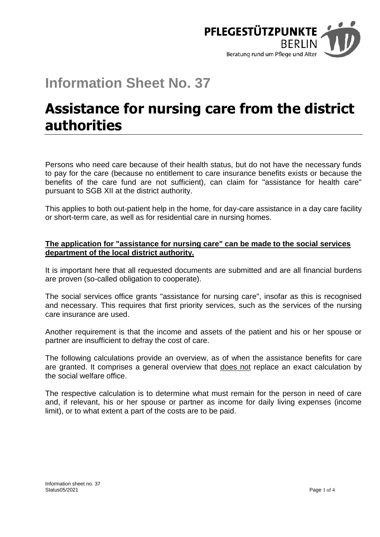

# **Information Sheet No. 37**

# **Assistance for nursing care from the district authorities**

Persons who need care because of their health status, but do not have the necessary funds to pay for the care (because no entitlement to care insurance benefits exists or because the benefits of the care fund are not sufficient), can claim for "assistance for health care" pursuant to SGB XII at the district authority.

This applies to both out-patient help in the home, for day-care assistance in a day care facility or short-term care, as well as for residential care in nursing homes.

## **The application for "assistance for nursing care" can be made to the social services department of the local district authority.**

It is important here that all requested documents are submitted and are all financial burdens are proven (so-called obligation to cooperate).

The social services office grants "assistance for nursing care", insofar as this is recognised and necessary. This requires that first priority services, such as the services of the nursing care insurance are used.

Another requirement is that the income and assets of the patient and his or her spouse or partner are insufficient to defray the cost of care.

The following calculations provide an overview, as of when the assistance benefits for care are granted. It comprises a general overview that does not replace an exact calculation by the social welfare office.

The respective calculation is to determine what must remain for the person in need of care and, if relevant, his or her spouse or partner as income for daily living expenses (income limit), or to what extent a part of the costs are to be paid.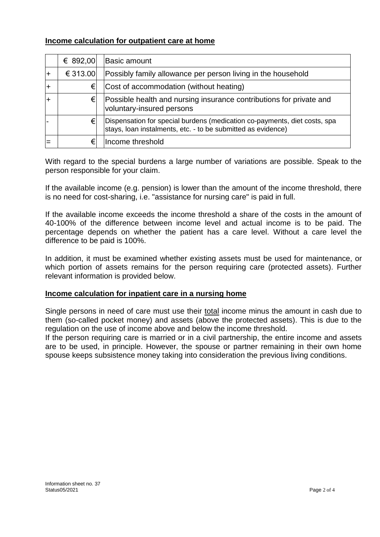## **Income calculation for outpatient care at home**

|                | € 892,00 | <b>Basic amount</b>                                                                                                                       |
|----------------|----------|-------------------------------------------------------------------------------------------------------------------------------------------|
| $\overline{+}$ | € 313.00 | Possibly family allowance per person living in the household                                                                              |
| l+             | €l       | Cost of accommodation (without heating)                                                                                                   |
|                | €l       | Possible health and nursing insurance contributions for private and<br>voluntary-insured persons                                          |
|                | €        | Dispensation for special burdens (medication co-payments, diet costs, spa<br>stays, loan instalments, etc. - to be submitted as evidence) |
|                | €        | Income threshold                                                                                                                          |

With regard to the special burdens a large number of variations are possible. Speak to the person responsible for your claim.

If the available income (e.g. pension) is lower than the amount of the income threshold, there is no need for cost-sharing, i.e. "assistance for nursing care" is paid in full.

If the available income exceeds the income threshold a share of the costs in the amount of 40-100% of the difference between income level and actual income is to be paid. The percentage depends on whether the patient has a care level. Without a care level the difference to be paid is 100%.

In addition, it must be examined whether existing assets must be used for maintenance, or which portion of assets remains for the person requiring care (protected assets). Further relevant information is provided below.

#### **Income calculation for inpatient care in a nursing home**

Single persons in need of care must use their total income minus the amount in cash due to them (so-called pocket money) and assets (above the protected assets). This is due to the regulation on the use of income above and below the income threshold.

If the person requiring care is married or in a civil partnership, the entire income and assets are to be used, in principle. However, the spouse or partner remaining in their own home spouse keeps subsistence money taking into consideration the previous living conditions.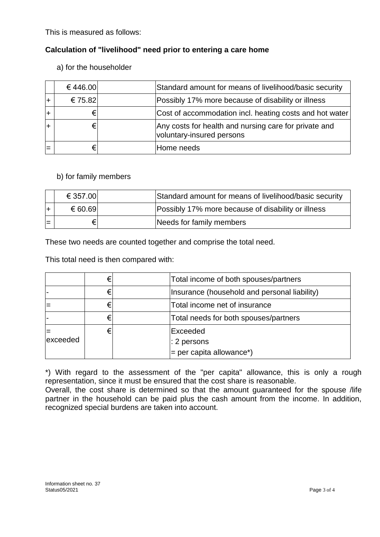This is measured as follows:

## **Calculation of "livelihood" need prior to entering a care home**

a) for the householder

| €446.00 | Standard amount for means of livelihood/basic security                             |
|---------|------------------------------------------------------------------------------------|
| € 75.82 | Possibly 17% more because of disability or illness                                 |
|         | Cost of accommodation incl. heating costs and hot water                            |
|         | Any costs for health and nursing care for private and<br>voluntary-insured persons |
|         | Home needs                                                                         |

### b) for family members

|     | € 357.00 | Standard amount for means of livelihood/basic security |
|-----|----------|--------------------------------------------------------|
|     | € 60.69  | Possibly 17% more because of disability or illness     |
| $=$ | €        | Needs for family members                               |

These two needs are counted together and comprise the total need.

This total need is then compared with:

|          |   | Total income of both spouses/partners        |
|----------|---|----------------------------------------------|
|          |   | Insurance (household and personal liability) |
|          |   | Total income net of insurance                |
|          |   | Total needs for both spouses/partners        |
|          | € | Exceeded                                     |
| exceeded |   | $\mid$ : 2 persons                           |
|          |   | $=$ per capita allowance*)                   |

\*) With regard to the assessment of the "per capita" allowance, this is only a rough representation, since it must be ensured that the cost share is reasonable.

Overall, the cost share is determined so that the amount guaranteed for the spouse /life partner in the household can be paid plus the cash amount from the income. In addition, recognized special burdens are taken into account.